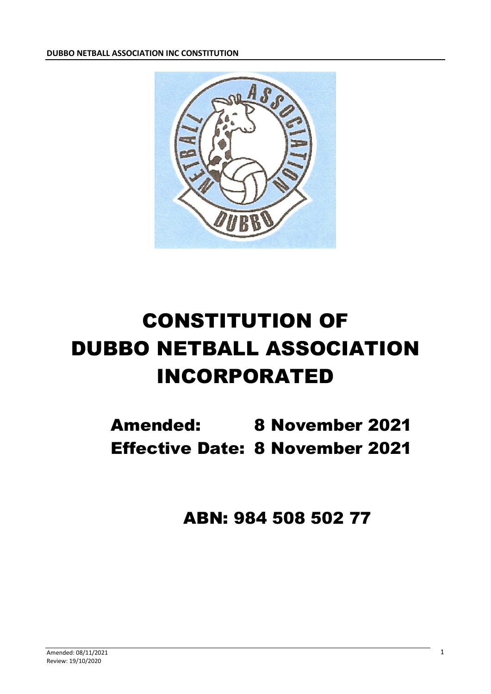**DUBBO NETBALL ASSOCIATION INC CONSTITUTION**



# CONSTITUTION OF DUBBO NETBALL ASSOCIATION INCORPORATED

Amended: 8 November 2021 Effective Date: 8 November 2021

ABN: 984 508 502 77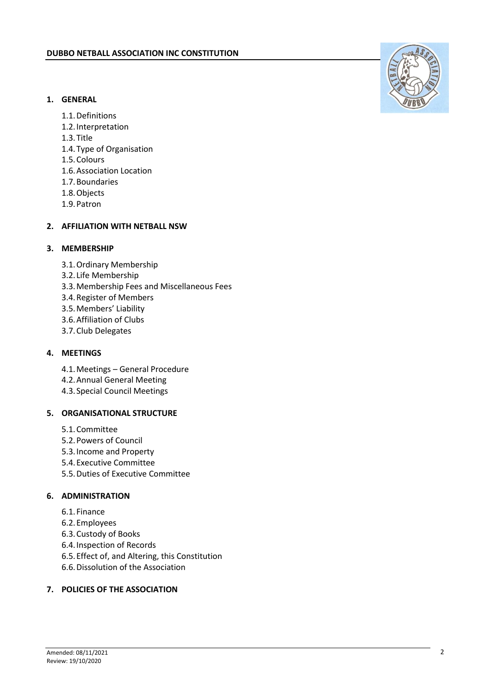# **1. GENERAL**

- 1.1.Definitions
- 1.2.Interpretation
- 1.3.Title
- 1.4.Type of Organisation
- 1.5.Colours
- 1.6.Association Location
- 1.7.Boundaries
- 1.8.Objects
- 1.9.Patron

# **2. AFFILIATION WITH NETBALL NSW**

# **3. MEMBERSHIP**

- 3.1.Ordinary Membership
- 3.2. Life Membership
- 3.3.Membership Fees and Miscellaneous Fees
- 3.4.Register of Members
- 3.5.Members' Liability
- 3.6.Affiliation of Clubs
- 3.7.Club Delegates

# **4. MEETINGS**

- 4.1.Meetings General Procedure
- 4.2.Annual General Meeting
- 4.3.Special Council Meetings

# **5. ORGANISATIONAL STRUCTURE**

- 5.1.Committee
- 5.2.Powers of Council
- 5.3.Income and Property
- 5.4.Executive Committee
- 5.5.Duties of Executive Committee

# **6. ADMINISTRATION**

- 6.1.Finance
- 6.2.Employees
- 6.3.Custody of Books
- 6.4.Inspection of Records
- 6.5.Effect of, and Altering, this Constitution
- 6.6.Dissolution of the Association

# **7. POLICIES OF THE ASSOCIATION**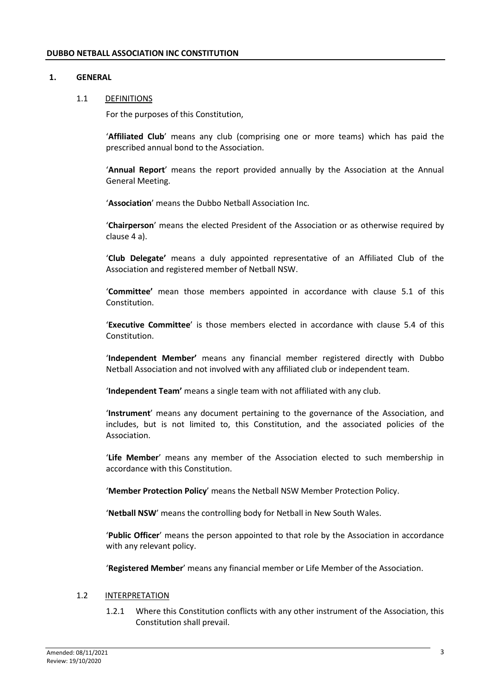# **1. GENERAL**

#### 1.1 DEFINITIONS

For the purposes of this Constitution,

'**Affiliated Club**' means any club (comprising one or more teams) which has paid the prescribed annual bond to the Association.

'**Annual Report**' means the report provided annually by the Association at the Annual General Meeting.

'**Association**' means the Dubbo Netball Association Inc.

'**Chairperson**' means the elected President of the Association or as otherwise required by clause 4 a).

'**Club Delegate'** means a duly appointed representative of an Affiliated Club of the Association and registered member of Netball NSW.

'**Committee'** mean those members appointed in accordance with clause 5.1 of this Constitution.

'**Executive Committee**' is those members elected in accordance with clause 5.4 of this Constitution.

'**Independent Member'** means any financial member registered directly with Dubbo Netball Association and not involved with any affiliated club or independent team.

'**Independent Team'** means a single team with not affiliated with any club.

'**Instrument**' means any document pertaining to the governance of the Association, and includes, but is not limited to, this Constitution, and the associated policies of the Association.

'**Life Member**' means any member of the Association elected to such membership in accordance with this Constitution.

'**Member Protection Policy**' means the Netball NSW Member Protection Policy.

'**Netball NSW**' means the controlling body for Netball in New South Wales.

'**Public Officer**' means the person appointed to that role by the Association in accordance with any relevant policy.

'**Registered Member**' means any financial member or Life Member of the Association.

# 1.2 INTERPRETATION

1.2.1 Where this Constitution conflicts with any other instrument of the Association, this Constitution shall prevail.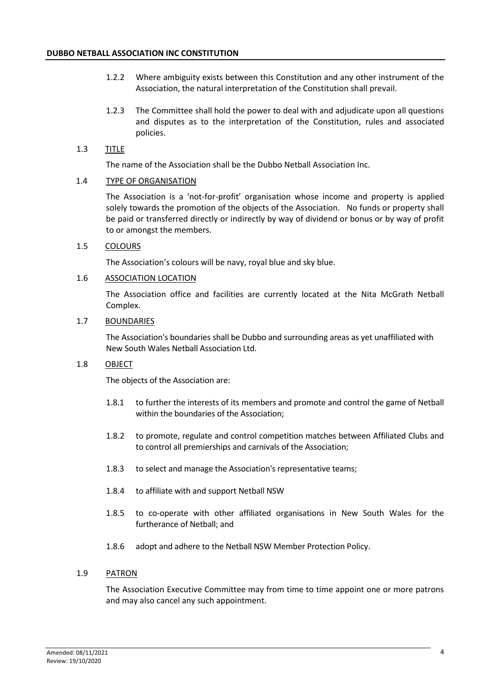- 1.2.2 Where ambiguity exists between this Constitution and any other instrument of the Association, the natural interpretation of the Constitution shall prevail.
- 1.2.3 The Committee shall hold the power to deal with and adjudicate upon all questions and disputes as to the interpretation of the Constitution, rules and associated policies.

# 1.3 TITLE

The name of the Association shall be the Dubbo Netball Association Inc.

# 1.4 TYPE OF ORGANISATION

The Association is a 'not-for-profit' organisation whose income and property is applied solely towards the promotion of the objects of the Association. No funds or property shall be paid or transferred directly or indirectly by way of dividend or bonus or by way of profit to or amongst the members.

# 1.5 COLOURS

The Association's colours will be navy, royal blue and sky blue.

# 1.6 ASSOCIATION LOCATION

The Association office and facilities are currently located at the Nita McGrath Netball Complex.

# 1.7 BOUNDARIES

The Association's boundaries shall be Dubbo and surrounding areas as yet unaffiliated with New South Wales Netball Association Ltd.

# 1.8 OBJECT

The objects of the Association are:

- 1.8.1 to further the interests of its members and promote and control the game of Netball within the boundaries of the Association;
- 1.8.2 to promote, regulate and control competition matches between Affiliated Clubs and to control all premierships and carnivals of the Association;
- 1.8.3 to select and manage the Association's representative teams;
- 1.8.4 to affiliate with and support Netball NSW
- 1.8.5 to co-operate with other affiliated organisations in New South Wales for the furtherance of Netball; and
- 1.8.6 adopt and adhere to the Netball NSW Member Protection Policy.

# 1.9 PATRON

The Association Executive Committee may from time to time appoint one or more patrons and may also cancel any such appointment.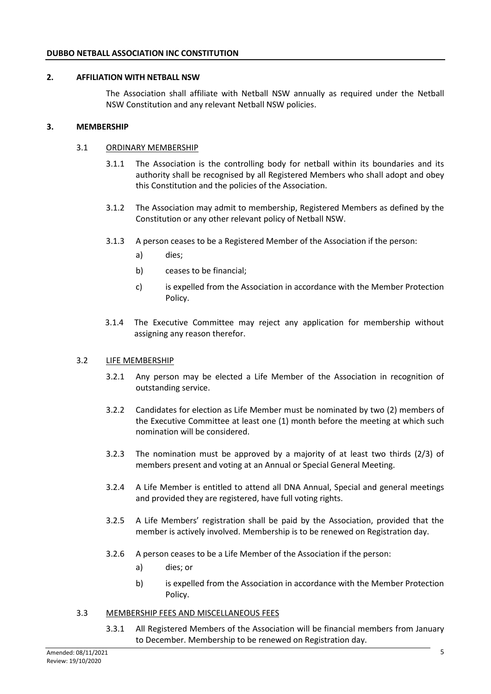# **2. AFFILIATION WITH NETBALL NSW**

The Association shall affiliate with Netball NSW annually as required under the Netball NSW Constitution and any relevant Netball NSW policies.

# **3. MEMBERSHIP**

#### 3.1 ORDINARY MEMBERSHIP

- 3.1.1 The Association is the controlling body for netball within its boundaries and its authority shall be recognised by all Registered Members who shall adopt and obey this Constitution and the policies of the Association.
- 3.1.2 The Association may admit to membership, Registered Members as defined by the Constitution or any other relevant policy of Netball NSW.
- 3.1.3 A person ceases to be a Registered Member of the Association if the person:
	- a) dies;
	- b) ceases to be financial;
	- c) is expelled from the Association in accordance with the Member Protection Policy.
- 3.1.4 The Executive Committee may reject any application for membership without assigning any reason therefor.

#### 3.2 LIFE MEMBERSHIP

- 3.2.1 Any person may be elected a Life Member of the Association in recognition of outstanding service.
- 3.2.2 Candidates for election as Life Member must be nominated by two (2) members of the Executive Committee at least one (1) month before the meeting at which such nomination will be considered.
- 3.2.3 The nomination must be approved by a majority of at least two thirds (2/3) of members present and voting at an Annual or Special General Meeting.
- 3.2.4 A Life Member is entitled to attend all DNA Annual, Special and general meetings and provided they are registered, have full voting rights.
- 3.2.5 A Life Members' registration shall be paid by the Association, provided that the member is actively involved. Membership is to be renewed on Registration day.
- 3.2.6 A person ceases to be a Life Member of the Association if the person:
	- a) dies; or
	- b) is expelled from the Association in accordance with the Member Protection Policy.

#### 3.3 MEMBERSHIP FEES AND MISCELLANEOUS FEES

3.3.1 All Registered Members of the Association will be financial members from January to December. Membership to be renewed on Registration day.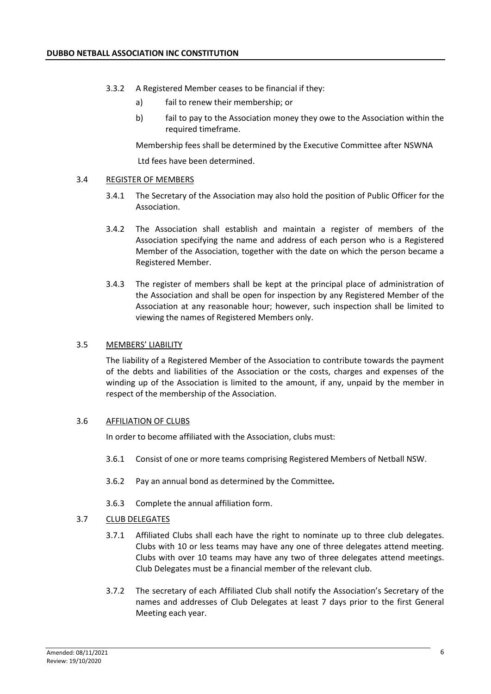- 3.3.2 A Registered Member ceases to be financial if they:
	- a) fail to renew their membership; or
	- b) fail to pay to the Association money they owe to the Association within the required timeframe.

Membership fees shall be determined by the Executive Committee after NSWNA

Ltd fees have been determined.

# 3.4 REGISTER OF MEMBERS

- 3.4.1 The Secretary of the Association may also hold the position of Public Officer for the Association.
- 3.4.2 The Association shall establish and maintain a register of members of the Association specifying the name and address of each person who is a Registered Member of the Association, together with the date on which the person became a Registered Member.
- 3.4.3 The register of members shall be kept at the principal place of administration of the Association and shall be open for inspection by any Registered Member of the Association at any reasonable hour; however, such inspection shall be limited to viewing the names of Registered Members only.

# 3.5 MEMBERS' LIABILITY

The liability of a Registered Member of the Association to contribute towards the payment of the debts and liabilities of the Association or the costs, charges and expenses of the winding up of the Association is limited to the amount, if any, unpaid by the member in respect of the membership of the Association.

# 3.6 AFFILIATION OF CLUBS

In order to become affiliated with the Association, clubs must:

- 3.6.1 Consist of one or more teams comprising Registered Members of Netball NSW.
- 3.6.2 Pay an annual bond as determined by the Committee*.*
- 3.6.3 Complete the annual affiliation form.

# 3.7 CLUB DELEGATES

- 3.7.1 Affiliated Clubs shall each have the right to nominate up to three club delegates. Clubs with 10 or less teams may have any one of three delegates attend meeting. Clubs with over 10 teams may have any two of three delegates attend meetings. Club Delegates must be a financial member of the relevant club.
- 3.7.2 The secretary of each Affiliated Club shall notify the Association's Secretary of the names and addresses of Club Delegates at least 7 days prior to the first General Meeting each year.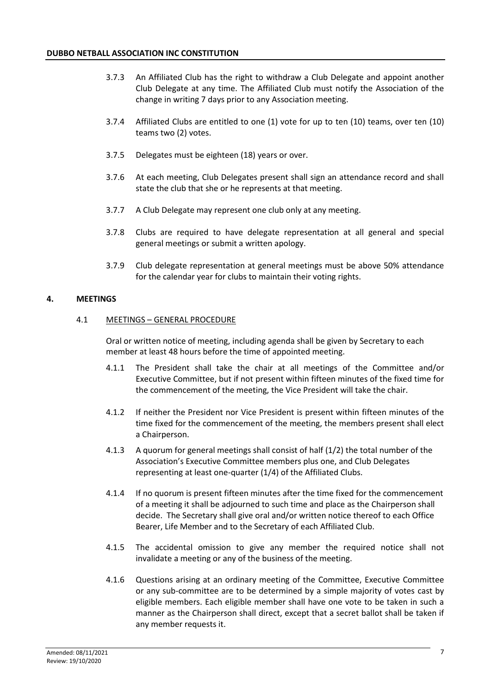- 3.7.3 An Affiliated Club has the right to withdraw a Club Delegate and appoint another Club Delegate at any time. The Affiliated Club must notify the Association of the change in writing 7 days prior to any Association meeting.
- 3.7.4 Affiliated Clubs are entitled to one (1) vote for up to ten (10) teams, over ten (10) teams two (2) votes.
- 3.7.5 Delegates must be eighteen (18) years or over.
- 3.7.6 At each meeting, Club Delegates present shall sign an attendance record and shall state the club that she or he represents at that meeting.
- 3.7.7 A Club Delegate may represent one club only at any meeting.
- 3.7.8 Clubs are required to have delegate representation at all general and special general meetings or submit a written apology.
- 3.7.9 Club delegate representation at general meetings must be above 50% attendance for the calendar year for clubs to maintain their voting rights.

# **4. MEETINGS**

# 4.1 MEETINGS – GENERAL PROCEDURE

Oral or written notice of meeting, including agenda shall be given by Secretary to each member at least 48 hours before the time of appointed meeting.

- 4.1.1 The President shall take the chair at all meetings of the Committee and/or Executive Committee, but if not present within fifteen minutes of the fixed time for the commencement of the meeting, the Vice President will take the chair.
- 4.1.2 If neither the President nor Vice President is present within fifteen minutes of the time fixed for the commencement of the meeting, the members present shall elect a Chairperson.
- 4.1.3 A quorum for general meetings shall consist of half (1/2) the total number of the Association's Executive Committee members plus one, and Club Delegates representing at least one-quarter (1/4) of the Affiliated Clubs.
- 4.1.4 If no quorum is present fifteen minutes after the time fixed for the commencement of a meeting it shall be adjourned to such time and place as the Chairperson shall decide. The Secretary shall give oral and/or written notice thereof to each Office Bearer, Life Member and to the Secretary of each Affiliated Club.
- 4.1.5 The accidental omission to give any member the required notice shall not invalidate a meeting or any of the business of the meeting.
- 4.1.6 Questions arising at an ordinary meeting of the Committee, Executive Committee or any sub-committee are to be determined by a simple majority of votes cast by eligible members. Each eligible member shall have one vote to be taken in such a manner as the Chairperson shall direct, except that a secret ballot shall be taken if any member requests it.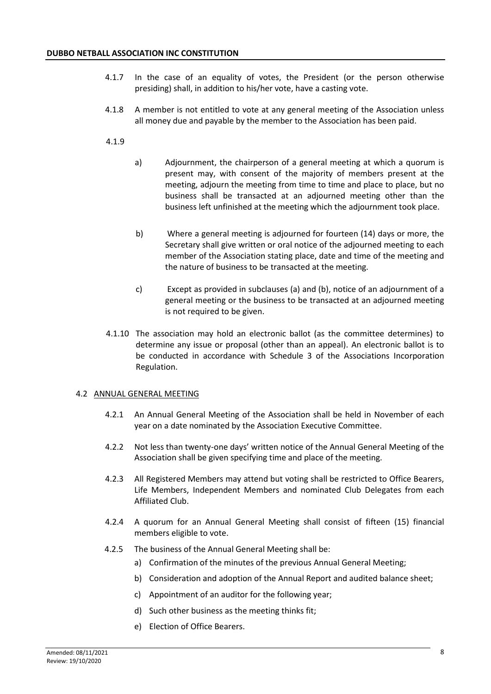- 4.1.7 In the case of an equality of votes, the President (or the person otherwise presiding) shall, in addition to his/her vote, have a casting vote.
- 4.1.8 A member is not entitled to vote at any general meeting of the Association unless all money due and payable by the member to the Association has been paid.
- 4.1.9
- a) Adjournment, the chairperson of a general meeting at which a quorum is present may, with consent of the majority of members present at the meeting, adjourn the meeting from time to time and place to place, but no business shall be transacted at an adjourned meeting other than the business left unfinished at the meeting which the adjournment took place.
- b) Where a general meeting is adjourned for fourteen (14) days or more, the Secretary shall give written or oral notice of the adjourned meeting to each member of the Association stating place, date and time of the meeting and the nature of business to be transacted at the meeting.
- c) Except as provided in subclauses (a) and (b), notice of an adjournment of a general meeting or the business to be transacted at an adjourned meeting is not required to be given.
- 4.1.10 The association may hold an electronic ballot (as the committee determines) to determine any issue or proposal (other than an appeal). An electronic ballot is to be conducted in accordance with Schedule 3 of the Associations Incorporation Regulation.

# 4.2 ANNUAL GENERAL MEETING

- 4.2.1 An Annual General Meeting of the Association shall be held in November of each year on a date nominated by the Association Executive Committee.
- 4.2.2 Not less than twenty-one days' written notice of the Annual General Meeting of the Association shall be given specifying time and place of the meeting.
- 4.2.3 All Registered Members may attend but voting shall be restricted to Office Bearers, Life Members, Independent Members and nominated Club Delegates from each Affiliated Club.
- 4.2.4 A quorum for an Annual General Meeting shall consist of fifteen (15) financial members eligible to vote.
- 4.2.5 The business of the Annual General Meeting shall be:
	- a) Confirmation of the minutes of the previous Annual General Meeting;
	- b) Consideration and adoption of the Annual Report and audited balance sheet;
	- c) Appointment of an auditor for the following year;
	- d) Such other business as the meeting thinks fit;
	- e) Election of Office Bearers.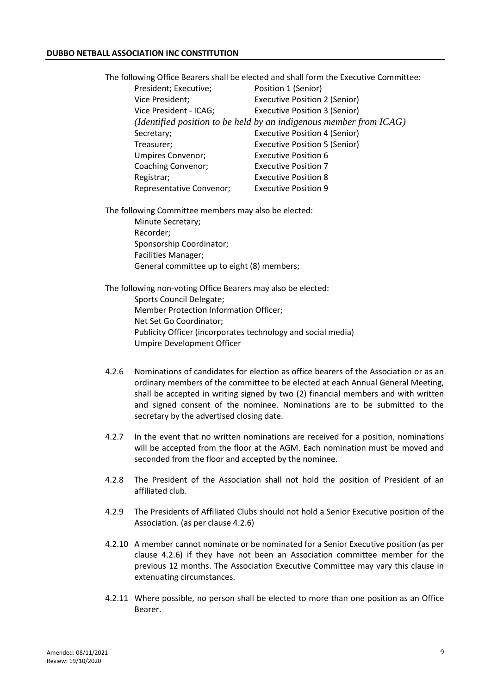The following Office Bearers shall be elected and shall form the Executive Committee: President; Executive; Position 1 (Senior) Vice President; Executive Position 2 (Senior) Vice President - ICAG; Executive Position 3 (Senior) *(Identified position to be held by an indigenous member from ICAG)* Secretary; Secretary; Executive Position 4 (Senior) Treasurer; Executive Position 5 (Senior) Umpires Convenor; Executive Position 6 Coaching Convenor; Executive Position 7 Registrar; Executive Position 8 Representative Convenor; Executive Position 9

The following Committee members may also be elected: Minute Secretary; Recorder; Sponsorship Coordinator; Facilities Manager; General committee up to eight (8) members;

The following non-voting Office Bearers may also be elected: Sports Council Delegate; Member Protection Information Officer; Net Set Go Coordinator; Publicity Officer (incorporates technology and social media) Umpire Development Officer

- 4.2.6 Nominations of candidates for election as office bearers of the Association or as an ordinary members of the committee to be elected at each Annual General Meeting, shall be accepted in writing signed by two (2) financial members and with written and signed consent of the nominee. Nominations are to be submitted to the secretary by the advertised closing date.
- 4.2.7 In the event that no written nominations are received for a position, nominations will be accepted from the floor at the AGM. Each nomination must be moved and seconded from the floor and accepted by the nominee.
- 4.2.8 The President of the Association shall not hold the position of President of an affiliated club.
- 4.2.9 The Presidents of Affiliated Clubs should not hold a Senior Executive position of the Association. (as per clause 4.2.6)
- 4.2.10 A member cannot nominate or be nominated for a Senior Executive position (as per clause 4.2.6) if they have not been an Association committee member for the previous 12 months. The Association Executive Committee may vary this clause in extenuating circumstances.
- 4.2.11 Where possible, no person shall be elected to more than one position as an Office Bearer.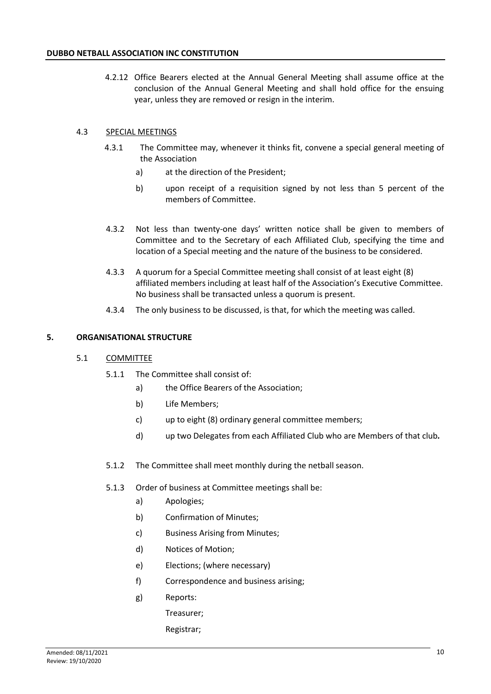4.2.12 Office Bearers elected at the Annual General Meeting shall assume office at the conclusion of the Annual General Meeting and shall hold office for the ensuing year, unless they are removed or resign in the interim.

# 4.3 SPECIAL MEETINGS

- 4.3.1 The Committee may, whenever it thinks fit, convene a special general meeting of the Association
	- a) at the direction of the President;
	- b) upon receipt of a requisition signed by not less than 5 percent of the members of Committee.
- 4.3.2 Not less than twenty-one days' written notice shall be given to members of Committee and to the Secretary of each Affiliated Club, specifying the time and location of a Special meeting and the nature of the business to be considered.
- 4.3.3 A quorum for a Special Committee meeting shall consist of at least eight (8) affiliated members including at least half of the Association's Executive Committee. No business shall be transacted unless a quorum is present.
- 4.3.4 The only business to be discussed, is that, for which the meeting was called.

# **5. ORGANISATIONAL STRUCTURE**

# 5.1 COMMITTEE

- 5.1.1 The Committee shall consist of:
	- a) the Office Bearers of the Association;
	- b) Life Members;
	- c) up to eight (8) ordinary general committee members;
	- d) up two Delegates from each Affiliated Club who are Members of that club*.*
- 5.1.2 The Committee shall meet monthly during the netball season.

# 5.1.3 Order of business at Committee meetings shall be:

- a) Apologies;
- b) Confirmation of Minutes;
- c) Business Arising from Minutes;
- d) Notices of Motion;
- e) Elections; (where necessary)
- f) Correspondence and business arising;
- g) Reports:
	- Treasurer;

# Registrar;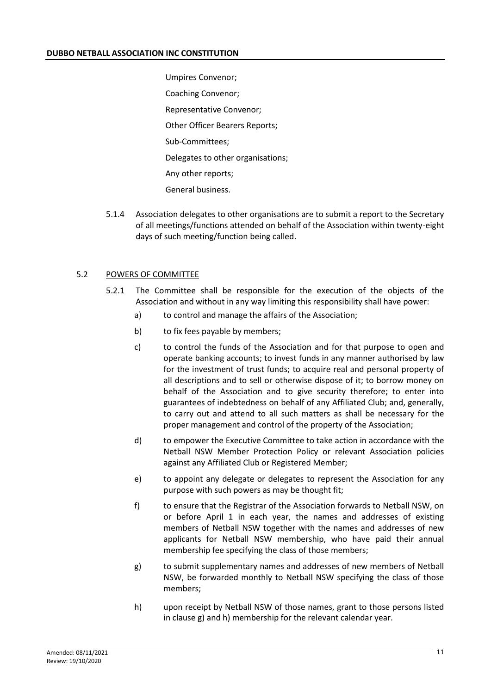Umpires Convenor; Coaching Convenor; Representative Convenor; Other Officer Bearers Reports; Sub-Committees; Delegates to other organisations; Any other reports; General business.

5.1.4 Association delegates to other organisations are to submit a report to the Secretary of all meetings/functions attended on behalf of the Association within twenty-eight days of such meeting/function being called.

# 5.2 POWERS OF COMMITTEE

- 5.2.1 The Committee shall be responsible for the execution of the objects of the Association and without in any way limiting this responsibility shall have power:
	- a) to control and manage the affairs of the Association;
	- b) to fix fees payable by members;
	- c) to control the funds of the Association and for that purpose to open and operate banking accounts; to invest funds in any manner authorised by law for the investment of trust funds; to acquire real and personal property of all descriptions and to sell or otherwise dispose of it; to borrow money on behalf of the Association and to give security therefore; to enter into guarantees of indebtedness on behalf of any Affiliated Club; and, generally, to carry out and attend to all such matters as shall be necessary for the proper management and control of the property of the Association;
	- d) to empower the Executive Committee to take action in accordance with the Netball NSW Member Protection Policy or relevant Association policies against any Affiliated Club or Registered Member;
	- e) to appoint any delegate or delegates to represent the Association for any purpose with such powers as may be thought fit;
	- f) to ensure that the Registrar of the Association forwards to Netball NSW, on or before April 1 in each year, the names and addresses of existing members of Netball NSW together with the names and addresses of new applicants for Netball NSW membership, who have paid their annual membership fee specifying the class of those members;
	- g) to submit supplementary names and addresses of new members of Netball NSW, be forwarded monthly to Netball NSW specifying the class of those members;
	- h) upon receipt by Netball NSW of those names, grant to those persons listed in clause g) and h) membership for the relevant calendar year.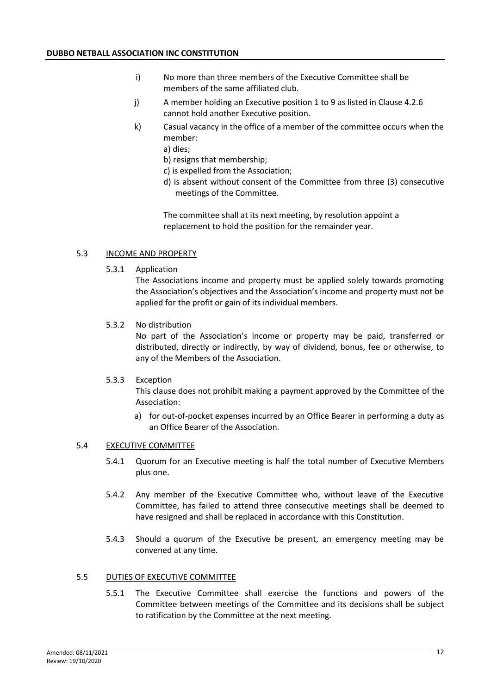- i) No more than three members of the Executive Committee shall be members of the same affiliated club.
- j) A member holding an Executive position 1 to 9 as listed in Clause 4.2.6 cannot hold another Executive position.
- k) Casual vacancy in the office of a member of the committee occurs when the member:
	- a) dies;
	- b) resigns that membership;
	- c) is expelled from the Association;
	- d) is absent without consent of the Committee from three (3) consecutive meetings of the Committee.

The committee shall at its next meeting, by resolution appoint a replacement to hold the position for the remainder year.

# 5.3 INCOME AND PROPERTY

5.3.1 Application

The Associations income and property must be applied solely towards promoting the Association's objectives and the Association's income and property must not be applied for the profit or gain of its individual members.

5.3.2 No distribution

No part of the Association's income or property may be paid, transferred or distributed, directly or indirectly, by way of dividend, bonus, fee or otherwise, to any of the Members of the Association.

# 5.3.3 Exception

This clause does not prohibit making a payment approved by the Committee of the Association:

a) for out-of-pocket expenses incurred by an Office Bearer in performing a duty as an Office Bearer of the Association.

# 5.4 EXECUTIVE COMMITTEE

- 5.4.1 Quorum for an Executive meeting is half the total number of Executive Members plus one.
- 5.4.2 Any member of the Executive Committee who, without leave of the Executive Committee, has failed to attend three consecutive meetings shall be deemed to have resigned and shall be replaced in accordance with this Constitution.
- 5.4.3 Should a quorum of the Executive be present, an emergency meeting may be convened at any time.

# 5.5 DUTIES OF EXECUTIVE COMMITTEE

5.5.1 The Executive Committee shall exercise the functions and powers of the Committee between meetings of the Committee and its decisions shall be subject to ratification by the Committee at the next meeting.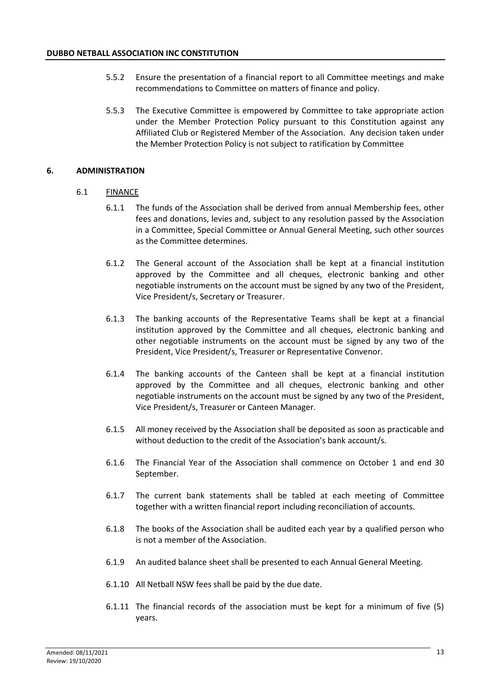- 5.5.2 Ensure the presentation of a financial report to all Committee meetings and make recommendations to Committee on matters of finance and policy.
- 5.5.3 The Executive Committee is empowered by Committee to take appropriate action under the Member Protection Policy pursuant to this Constitution against any Affiliated Club or Registered Member of the Association. Any decision taken under the Member Protection Policy is not subject to ratification by Committee

# **6. ADMINISTRATION**

# 6.1 FINANCE

- 6.1.1 The funds of the Association shall be derived from annual Membership fees, other fees and donations, levies and, subject to any resolution passed by the Association in a Committee, Special Committee or Annual General Meeting, such other sources as the Committee determines.
- 6.1.2 The General account of the Association shall be kept at a financial institution approved by the Committee and all cheques, electronic banking and other negotiable instruments on the account must be signed by any two of the President, Vice President/s, Secretary or Treasurer.
- 6.1.3 The banking accounts of the Representative Teams shall be kept at a financial institution approved by the Committee and all cheques, electronic banking and other negotiable instruments on the account must be signed by any two of the President, Vice President/s, Treasurer or Representative Convenor.
- 6.1.4 The banking accounts of the Canteen shall be kept at a financial institution approved by the Committee and all cheques, electronic banking and other negotiable instruments on the account must be signed by any two of the President, Vice President/s, Treasurer or Canteen Manager.
- 6.1.5 All money received by the Association shall be deposited as soon as practicable and without deduction to the credit of the Association's bank account/s.
- 6.1.6 The Financial Year of the Association shall commence on October 1 and end 30 September.
- 6.1.7 The current bank statements shall be tabled at each meeting of Committee together with a written financial report including reconciliation of accounts.
- 6.1.8 The books of the Association shall be audited each year by a qualified person who is not a member of the Association.
- 6.1.9 An audited balance sheet shall be presented to each Annual General Meeting.
- 6.1.10 All Netball NSW fees shall be paid by the due date.
- 6.1.11 The financial records of the association must be kept for a minimum of five (5) years.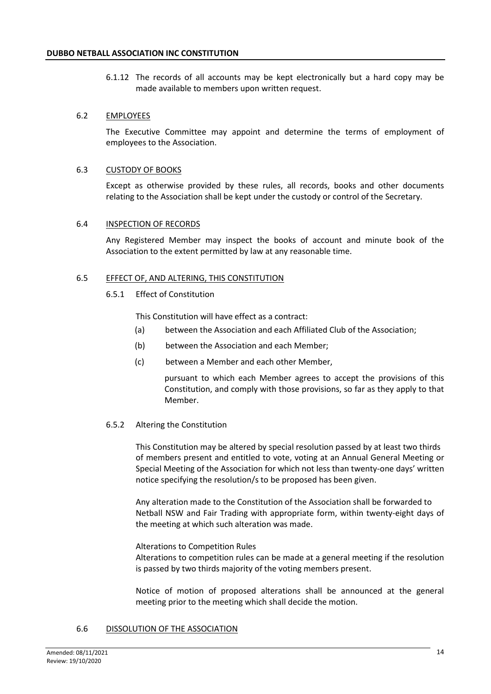6.1.12 The records of all accounts may be kept electronically but a hard copy may be made available to members upon written request.

# 6.2 EMPLOYEES

The Executive Committee may appoint and determine the terms of employment of employees to the Association.

# 6.3 CUSTODY OF BOOKS

Except as otherwise provided by these rules, all records, books and other documents relating to the Association shall be kept under the custody or control of the Secretary.

# 6.4 INSPECTION OF RECORDS

Any Registered Member may inspect the books of account and minute book of the Association to the extent permitted by law at any reasonable time.

# 6.5 EFFECT OF, AND ALTERING, THIS CONSTITUTION

# 6.5.1 Effect of Constitution

This Constitution will have effect as a contract:

- (a) between the Association and each Affiliated Club of the Association;
- (b) between the Association and each Member;
- (c) between a Member and each other Member,

pursuant to which each Member agrees to accept the provisions of this Constitution, and comply with those provisions, so far as they apply to that Member.

# 6.5.2 Altering the Constitution

This Constitution may be altered by special resolution passed by at least two thirds of members present and entitled to vote, voting at an Annual General Meeting or Special Meeting of the Association for which not less than twenty-one days' written notice specifying the resolution/s to be proposed has been given.

Any alteration made to the Constitution of the Association shall be forwarded to Netball NSW and Fair Trading with appropriate form, within twenty-eight days of the meeting at which such alteration was made.

# Alterations to Competition Rules

Alterations to competition rules can be made at a general meeting if the resolution is passed by two thirds majority of the voting members present.

Notice of motion of proposed alterations shall be announced at the general meeting prior to the meeting which shall decide the motion.

# 6.6 DISSOLUTION OF THE ASSOCIATION